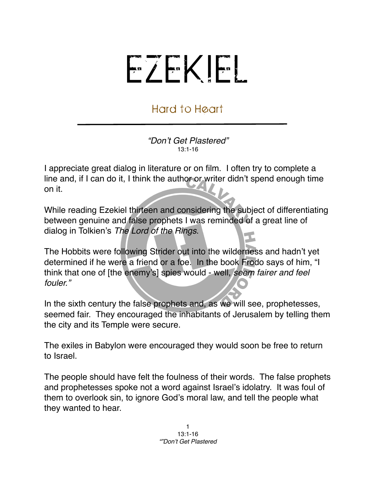## EZEKIEL

## Hard to Heart

*"Don*'*t Get Plastered"* 13:1-16

I appreciate great dialog in literature or on film. I often try to complete a line and, if I can do it, I think the author or writer didn't spend enough time on it.

While reading Ezekiel thirteen and considering the subject of differentiating between genuine and false prophets I was reminded of a great line of dialog in Tolkien's *The Lord of the Rings*.

The Hobbits were following Strider out into the wilderness and hadn't yet determined if he were a friend or a foe. In the book Frodo says of him, "I think that one of [the enemy's] spies would - well, *seem fairer and feel fouler."* 

In the sixth century the false prophets and, as we will see, prophetesses, seemed fair. They encouraged the inhabitants of Jerusalem by telling them the city and its Temple were secure.

The exiles in Babylon were encouraged they would soon be free to return to Israel.

The people should have felt the foulness of their words. The false prophets and prophetesses spoke not a word against Israel's idolatry. It was foul of them to overlook sin, to ignore God's moral law, and tell the people what they wanted to hear.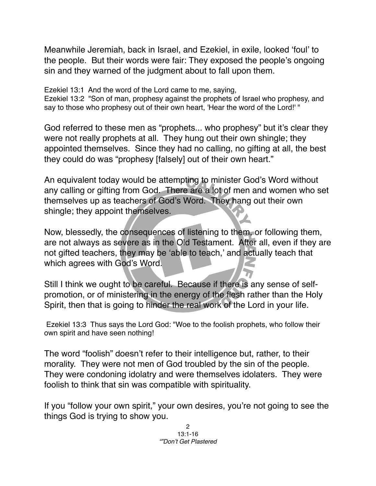Meanwhile Jeremiah, back in Israel, and Ezekiel, in exile, looked ʻfoul' to the people. But their words were fair: They exposed the people's ongoing sin and they warned of the judgment about to fall upon them.

Ezekiel 13:1 And the word of the Lord came to me, saying,

Ezekiel 13:2 "Son of man, prophesy against the prophets of Israel who prophesy, and say to those who prophesy out of their own heart, 'Hear the word of the Lord!' "

God referred to these men as "prophets... who prophesy" but it's clear they were not really prophets at all. They hung out their own shingle; they appointed themselves. Since they had no calling, no gifting at all, the best they could do was "prophesy [falsely] out of their own heart."

An equivalent today would be attempting to minister God's Word without any calling or gifting from God. There are a lot of men and women who set themselves up as teachers of God's Word. They hang out their own shingle; they appoint themselves.

Now, blessedly, the consequences of listening to them, or following them, are not always as severe as in the Old Testament. After all, even if they are not gifted teachers, they may be ʻable to teach,' and actually teach that which agrees with God's Word.

Still I think we ought to be careful. Because if there is any sense of selfpromotion, or of ministering in the energy of the flesh rather than the Holy Spirit, then that is going to hinder the real work of the Lord in your life.

 Ezekiel 13:3 Thus says the Lord God: "Woe to the foolish prophets, who follow their own spirit and have seen nothing!

The word "foolish" doesn't refer to their intelligence but, rather, to their morality. They were not men of God troubled by the sin of the people. They were condoning idolatry and were themselves idolaters. They were foolish to think that sin was compatible with spirituality.

If you "follow your own spirit," your own desires, you're not going to see the things God is trying to show you.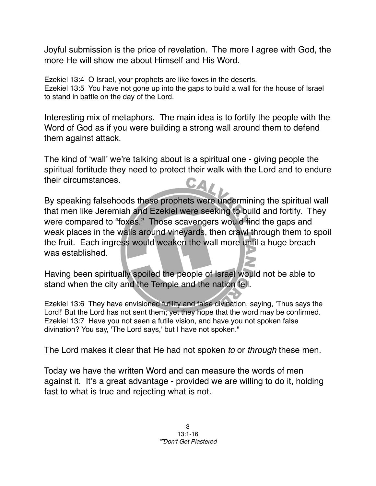Joyful submission is the price of revelation. The more I agree with God, the more He will show me about Himself and His Word.

Ezekiel 13:4 O Israel, your prophets are like foxes in the deserts. Ezekiel 13:5 You have not gone up into the gaps to build a wall for the house of Israel to stand in battle on the day of the Lord.

Interesting mix of metaphors. The main idea is to fortify the people with the Word of God as if you were building a strong wall around them to defend them against attack.

The kind of ʻwall' we're talking about is a spiritual one - giving people the spiritual fortitude they need to protect their walk with the Lord and to endure their circumstances. CAL

By speaking falsehoods these prophets were undermining the spiritual wall that men like Jeremiah and Ezekiel were seeking to build and fortify. They were compared to "foxes." Those scavengers would find the gaps and weak places in the walls around vineyards, then crawl through them to spoil the fruit. Each ingress would weaken the wall more until a huge breach was established.

Having been spiritually spoiled the people of Israel would not be able to stand when the city and the Temple and the nation fell.

Ezekiel 13:6 They have envisioned futility and false divination, saying, 'Thus says the Lord!' But the Lord has not sent them; yet they hope that the word may be confirmed. Ezekiel 13:7 Have you not seen a futile vision, and have you not spoken false divination? You say, 'The Lord says,' but I have not spoken."

The Lord makes it clear that He had not spoken *to* or *through* these men.

Today we have the written Word and can measure the words of men against it. It's a great advantage - provided we are willing to do it, holding fast to what is true and rejecting what is not.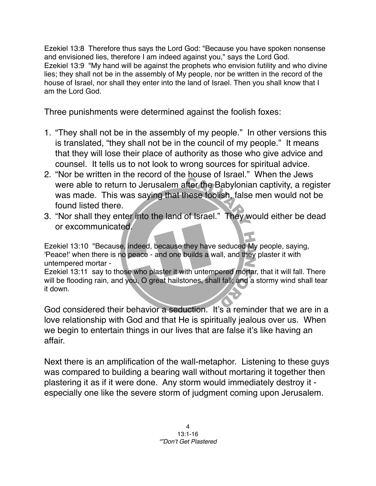Ezekiel 13:8 Therefore thus says the Lord God: "Because you have spoken nonsense and envisioned lies, therefore I am indeed against you," says the Lord God. Ezekiel 13:9 "My hand will be against the prophets who envision futility and who divine lies; they shall not be in the assembly of My people, nor be written in the record of the house of Israel, nor shall they enter into the land of Israel. Then you shall know that I am the Lord God.

Three punishments were determined against the foolish foxes:

- 1. "They shall not be in the assembly of my people." In other versions this is translated, "they shall not be in the council of my people." It means that they will lose their place of authority as those who give advice and counsel. It tells us to not look to wrong sources for spiritual advice.
- 2. "Nor be written in the record of the house of Israel." When the Jews were able to return to Jerusalem after the Babylonian captivity, a register was made. This was saying that these foolish, false men would not be found listed there.
- 3. "Nor shall they enter into the land of Israel." They would either be dead or excommunicated.

Ezekiel 13:10 "Because, indeed, because they have seduced My people, saying, 'Peace!' when there is no peace - and one builds a wall, and they plaster it with untempered mortar -

Ezekiel 13:11 say to those who plaster it with untempered mortar, that it will fall. There will be flooding rain, and you, O great hailstones, shall fall; and a stormy wind shall tear it down.

God considered their behavior a seduction. It's a reminder that we are in a love relationship with God and that He is spiritually jealous over us. When we begin to entertain things in our lives that are false it's like having an affair.

Next there is an amplification of the wall-metaphor. Listening to these guys was compared to building a bearing wall without mortaring it together then plastering it as if it were done. Any storm would immediately destroy it especially one like the severe storm of judgment coming upon Jerusalem.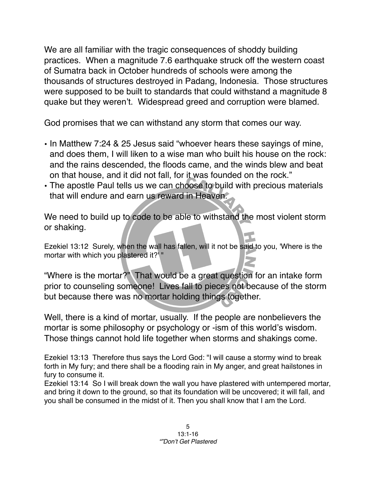We are all familiar with the tragic consequences of shoddy building practices. When a magnitude 7.6 earthquake struck off the western coast of Sumatra back in October hundreds of schools were among the thousands of structures destroyed in Padang, Indonesia. Those structures were supposed to be built to standards that could withstand a magnitude 8 quake but they weren't. Widespread greed and corruption were blamed.

God promises that we can withstand any storm that comes our way.

- In Matthew 7:24 & 25 Jesus said "whoever hears these sayings of mine, and does them, I will liken to a wise man who built his house on the rock: and the rains descended, the floods came, and the winds blew and beat on that house, and it did not fall, for it was founded on the rock."
- The apostle Paul tells us we can choose to build with precious materials that will endure and earn us reward in Heaven.

We need to build up to code to be able to withstand the most violent storm or shaking.

Ezekiel 13:12 Surely, when the wall has fallen, will it not be said to you, 'Where is the mortar with which you plastered it?' "

"Where is the mortar?" That would be a great question for an intake form prior to counseling someone! Lives fall to pieces not because of the storm but because there was no mortar holding things together.

Well, there is a kind of mortar, usually. If the people are nonbelievers the mortar is some philosophy or psychology or -ism of this world's wisdom. Those things cannot hold life together when storms and shakings come.

Ezekiel 13:13 Therefore thus says the Lord God: "I will cause a stormy wind to break forth in My fury; and there shall be a flooding rain in My anger, and great hailstones in fury to consume it.

Ezekiel 13:14 So I will break down the wall you have plastered with untempered mortar, and bring it down to the ground, so that its foundation will be uncovered; it will fall, and you shall be consumed in the midst of it. Then you shall know that I am the Lord.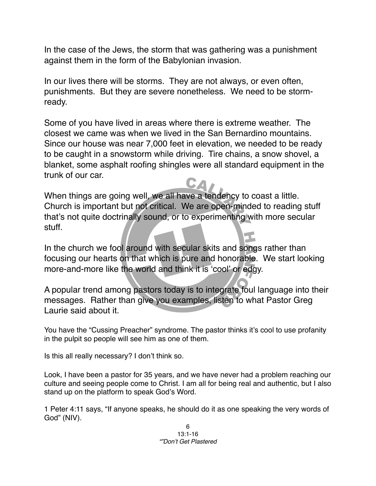In the case of the Jews, the storm that was gathering was a punishment against them in the form of the Babylonian invasion.

In our lives there will be storms. They are not always, or even often, punishments. But they are severe nonetheless. We need to be stormready.

Some of you have lived in areas where there is extreme weather. The closest we came was when we lived in the San Bernardino mountains. Since our house was near 7,000 feet in elevation, we needed to be ready to be caught in a snowstorm while driving. Tire chains, a snow shovel, a blanket, some asphalt roofing shingles were all standard equipment in the trunk of our car.

When things are going well, we all have a tendency to coast a little. Church is important but not critical. We are open-minded to reading stuff that's not quite doctrinally sound, or to experimenting with more secular stuff.

In the church we fool around with secular skits and songs rather than focusing our hearts on that which is pure and honorable. We start looking more-and-more like the world and think it is ʻcool' or edgy.

A popular trend among pastors today is to integrate foul language into their messages. Rather than give you examples, listen to what Pastor Greg Laurie said about it.

You have the "Cussing Preacher" syndrome. The pastor thinks it's cool to use profanity in the pulpit so people will see him as one of them.

Is this all really necessary? I don't think so.

Look, I have been a pastor for 35 years, and we have never had a problem reaching our culture and seeing people come to Christ. I am all for being real and authentic, but I also stand up on the platform to speak God's Word.

1 Peter 4:11 says, "If anyone speaks, he should do it as one speaking the very words of God" (NIV).